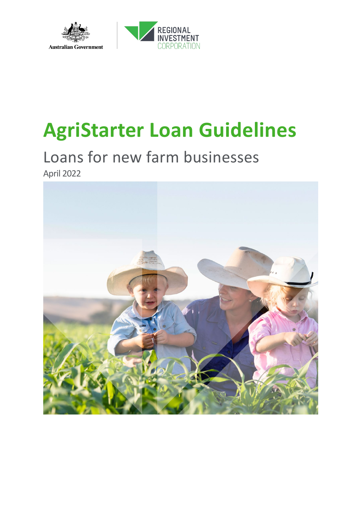



# **AgriStarter Loan Guidelines**

## Loans for new farm businesses April 2022

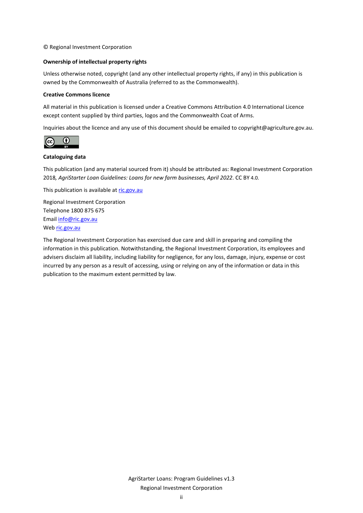© Regional Investment Corporation

#### **Ownership of intellectual property rights**

Unless otherwise noted, copyright (and any other intellectual property rights, if any) in this publication is owned by the Commonwealth of Australia (referred to as the Commonwealth).

#### **Creative Commons licence**

All material in this publication is licensed under a Creative Commons Attribution 4.0 International Licence except content supplied by third parties, logos and the Commonwealth Coat of Arms.

Inquiries about the licence and any use of this document should be emailed to copyright@agriculture.gov.au.



#### **Cataloguing data**

This publication (and any material sourced from it) should be attributed as: Regional Investment Corporation 2018*, AgriStarter Loan Guidelines: Loans for new farm businesses, April 2022*. CC BY 4.0.

This publication is available a[t ric.gov.au](http://www.ric.gov.au/)

Regional Investment Corporation Telephone 1800 875 675 Emai[l info@ric.gov.au](mailto:ric@agriculture.gov.au) Web [ric.gov.au](http://www.ric.gov.au/)

The Regional Investment Corporation has exercised due care and skill in preparing and compiling the information in this publication. Notwithstanding, the Regional Investment Corporation, its employees and advisers disclaim all liability, including liability for negligence, for any loss, damage, injury, expense or cost incurred by any person as a result of accessing, using or relying on any of the information or data in this publication to the maximum extent permitted by law.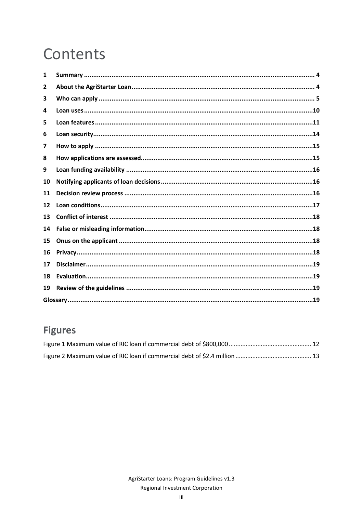# Contents

| 1  |  |  |  |
|----|--|--|--|
| 2  |  |  |  |
| З  |  |  |  |
| 4  |  |  |  |
| 5  |  |  |  |
| 6  |  |  |  |
| 7  |  |  |  |
| 8  |  |  |  |
| 9  |  |  |  |
| 10 |  |  |  |
| 11 |  |  |  |
| 12 |  |  |  |
| 13 |  |  |  |
| 14 |  |  |  |
| 15 |  |  |  |
| 16 |  |  |  |
| 17 |  |  |  |
| 18 |  |  |  |
| 19 |  |  |  |
|    |  |  |  |

## **Figures**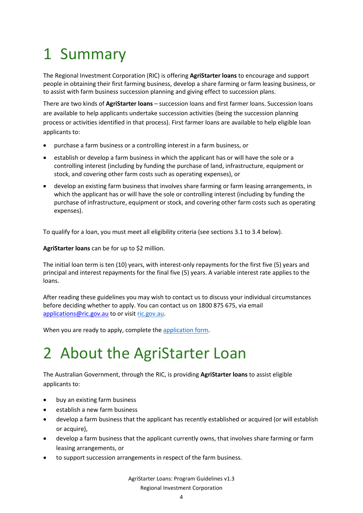# <span id="page-3-0"></span>1 Summary

The Regional Investment Corporation (RIC) is offering **AgriStarter loans** to encourage and support people in obtaining their first farming business, develop a share farming or farm leasing business, or to assist with farm business succession planning and giving effect to succession plans.

There are two kinds of **AgriStarter loans** – succession loans and first farmer loans. Succession loans are available to help applicants undertake succession activities (being the succession planning process or activities identified in that process). First farmer loans are available to help eligible loan applicants to:

- purchase a farm business or a controlling interest in a farm business, or
- establish or develop a farm business in which the applicant has or will have the sole or a controlling interest (including by funding the purchase of land, infrastructure, equipment or stock, and covering other farm costs such as operating expenses), or
- develop an existing farm business that involves share farming or farm leasing arrangements, in which the applicant has or will have the sole or controlling interest (including by funding the purchase of infrastructure, equipment or stock, and covering other farm costs such as operating expenses).

To qualify for a loan, you must meet all eligibility criteria (see sections 3.1 to 3.4 below).

**AgriStarter loans** can be for up to \$2 million.

The initial loan term is ten (10) years, with interest-only repayments for the first five (5) years and principal and interest repayments for the final five (5) years. A variable interest rate applies to the loans.

After reading these guidelines you may wish to contact us to discuss your individual circumstances before deciding whether to apply. You can contact us on 1800 875 675, via email [applications@ric.gov.au](mailto:applications@ric.gov.au) to or visit [ric.gov.au.](http://www.ric.gov.au/)

When you are ready to apply, complete the [application form.](http://ric.gov.au/agristarter#application-form)

# <span id="page-3-1"></span>2 About the AgriStarter Loan

The Australian Government, through the RIC, is providing **AgriStarter loans** to assist eligible applicants to:

- buy an existing farm business
- establish a new farm business
- develop a farm business that the applicant has recently established or acquired (or will establish or acquire),
- develop a farm business that the applicant currently owns, that involves share farming or farm leasing arrangements, or
- to support succession arrangements in respect of the farm business.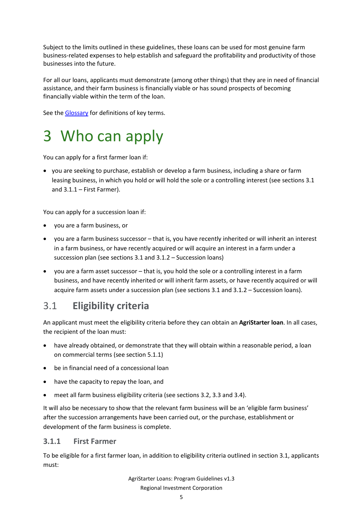Subject to the limits outlined in these guidelines, these loans can be used for most genuine farm business-related expenses to help establish and safeguard the profitability and productivity of those businesses into the future.

For all our loans, applicants must demonstrate (among other things) that they are in need of financial assistance, and their farm business is financially viable or has sound prospects of becoming financially viable within the term of the loan.

See the [Glossary](#page-18-3) for definitions of key terms.

## <span id="page-4-0"></span>3 Who can apply

You can apply for a first farmer loan if:

• you are seeking to purchase, establish or develop a farm business, including a share or farm leasing business, in which you hold or will hold the sole or a controlling interest (see sections 3.1 and 3.1.1 – First Farmer).

You can apply for a succession loan if:

- you are a farm business, or
- you are a farm business successor that is, you have recently inherited or will inherit an interest in a farm business, or have recently acquired or will acquire an interest in a farm under a succession plan (see sections 3.1 and 3.1.2 – Succession loans)
- you are a farm asset successor that is, you hold the sole or a controlling interest in a farm business, and have recently inherited or will inherit farm assets, or have recently acquired or will acquire farm assets under a succession plan (see sections 3.1 and 3.1.2 – Succession loans).

## 3.1 **Eligibility criteria**

An applicant must meet the eligibility criteria before they can obtain an **AgriStarter loan**. In all cases, the recipient of the loan must:

- have already obtained, or demonstrate that they will obtain within a reasonable period, a loan on commercial terms (see section 5.1.1)
- be in financial need of a concessional loan
- have the capacity to repay the loan, and
- meet all farm business eligibility criteria (see sections 3.2, 3.3 and 3.4).

It will also be necessary to show that the relevant farm business will be an 'eligible farm business' after the succession arrangements have been carried out, or the purchase, establishment or development of the farm business is complete.

#### **3.1.1 First Farmer**

To be eligible for a first farmer loan, in addition to eligibility criteria outlined in section 3.1, applicants must: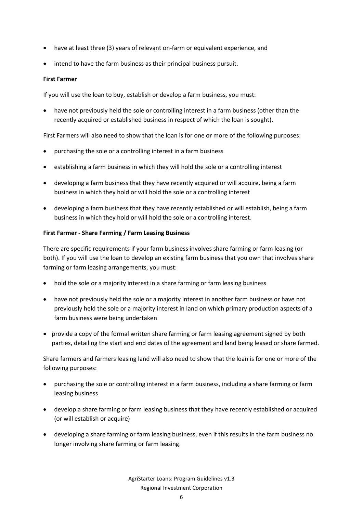- have at least three (3) years of relevant on-farm or equivalent experience, and
- intend to have the farm business as their principal business pursuit.

#### **First Farmer**

If you will use the loan to buy, establish or develop a farm business, you must:

• have not previously held the sole or controlling interest in a farm business (other than the recently acquired or established business in respect of which the loan is sought).

First Farmers will also need to show that the loan is for one or more of the following purposes:

- purchasing the sole or a controlling interest in a farm business
- establishing a farm business in which they will hold the sole or a controlling interest
- developing a farm business that they have recently acquired or will acquire, being a farm business in which they hold or will hold the sole or a controlling interest
- developing a farm business that they have recently established or will establish, being a farm business in which they hold or will hold the sole or a controlling interest.

#### **First Farmer - Share Farming / Farm Leasing Business**

There are specific requirements if your farm business involves share farming or farm leasing (or both). If you will use the loan to develop an existing farm business that you own that involves share farming or farm leasing arrangements, you must:

- hold the sole or a majority interest in a share farming or farm leasing business
- have not previously held the sole or a majority interest in another farm business or have not previously held the sole or a majority interest in land on which primary production aspects of a farm business were being undertaken
- provide a copy of the formal written share farming or farm leasing agreement signed by both parties, detailing the start and end dates of the agreement and land being leased or share farmed.

Share farmers and farmers leasing land will also need to show that the loan is for one or more of the following purposes:

- purchasing the sole or controlling interest in a farm business, including a share farming or farm leasing business
- develop a share farming or farm leasing business that they have recently established or acquired (or will establish or acquire)
- developing a share farming or farm leasing business, even if this results in the farm business no longer involving share farming or farm leasing.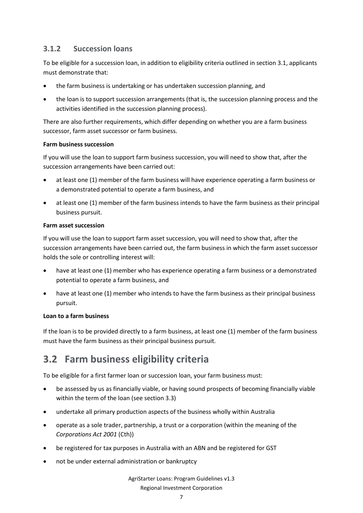### **3.1.2 Succession loans**

To be eligible for a succession loan, in addition to eligibility criteria outlined in section 3.1, applicants must demonstrate that:

- the farm business is undertaking or has undertaken succession planning, and
- the loan is to support succession arrangements (that is, the succession planning process and the activities identified in the succession planning process).

There are also further requirements, which differ depending on whether you are a farm business successor, farm asset successor or farm business.

#### **Farm business succession**

If you will use the loan to support farm business succession, you will need to show that, after the succession arrangements have been carried out:

- at least one (1) member of the farm business will have experience operating a farm business or a demonstrated potential to operate a farm business, and
- at least one (1) member of the farm business intends to have the farm business as their principal business pursuit.

#### **Farm asset succession**

If you will use the loan to support farm asset succession, you will need to show that, after the succession arrangements have been carried out, the farm business in which the farm asset successor holds the sole or controlling interest will:

- have at least one (1) member who has experience operating a farm business or a demonstrated potential to operate a farm business, and
- have at least one (1) member who intends to have the farm business as their principal business pursuit.

#### **Loan to a farm business**

If the loan is to be provided directly to a farm business, at least one (1) member of the farm business must have the farm business as their principal business pursuit.

## **3.2 Farm business eligibility criteria**

To be eligible for a first farmer loan or succession loan, your farm business must:

- be assessed by us as financially viable, or having sound prospects of becoming financially viable within the term of the loan (see section 3.3)
- undertake all primary production aspects of the business wholly within Australia
- operate as a sole trader, partnership, a trust or a corporation (within the meaning of the *Corporations Act 2001* (Cth))
- be registered for tax purposes in Australia with an ABN and be registered for GST
- not be under external administration or bankruptcy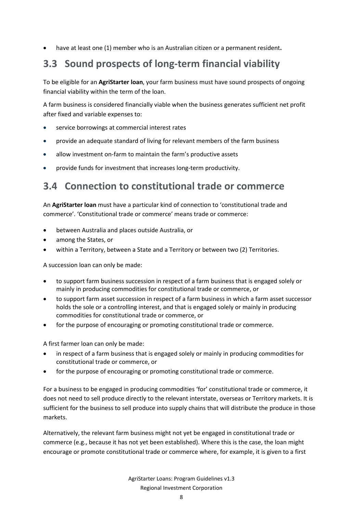• have at least one (1) member who is an Australian citizen or a permanent resident**.**

## **3.3 Sound prospects of long-term financial viability**

To be eligible for an **AgriStarter loan**, your farm business must have sound prospects of ongoing financial viability within the term of the loan.

A farm business is considered financially viable when the business generates sufficient net profit after fixed and variable expenses to:

- service borrowings at commercial interest rates
- provide an adequate standard of living for relevant members of the farm business
- allow investment on-farm to maintain the farm's productive assets
- provide funds for investment that increases long-term productivity.

## **3.4 Connection to constitutional trade or commerce**

An **AgriStarter loan** must have a particular kind of connection to 'constitutional trade and commerce'. 'Constitutional trade or commerce' means trade or commerce:

- between Australia and places outside Australia, or
- among the States, or
- within a Territory, between a State and a Territory or between two (2) Territories.

A succession loan can only be made:

- to support farm business succession in respect of a farm business that is engaged solely or mainly in producing commodities for constitutional trade or commerce, or
- to support farm asset succession in respect of a farm business in which a farm asset successor holds the sole or a controlling interest, and that is engaged solely or mainly in producing commodities for constitutional trade or commerce, or
- for the purpose of encouraging or promoting constitutional trade or commerce.

A first farmer loan can only be made:

- in respect of a farm business that is engaged solely or mainly in producing commodities for constitutional trade or commerce, or
- for the purpose of encouraging or promoting constitutional trade or commerce.

For a business to be engaged in producing commodities 'for' constitutional trade or commerce, it does not need to sell produce directly to the relevant interstate, overseas or Territory markets. It is sufficient for the business to sell produce into supply chains that will distribute the produce in those markets.

Alternatively, the relevant farm business might not yet be engaged in constitutional trade or commerce (e.g., because it has not yet been established). Where this is the case, the loan might encourage or promote constitutional trade or commerce where, for example, it is given to a first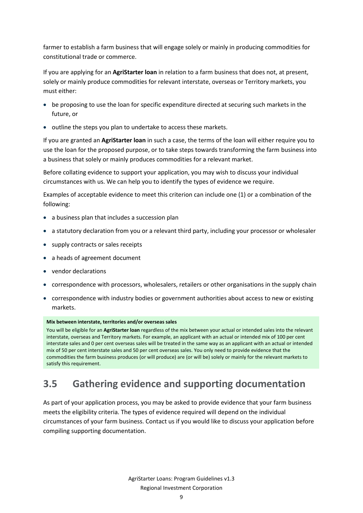farmer to establish a farm business that will engage solely or mainly in producing commodities for constitutional trade or commerce.

If you are applying for an **AgriStarter loan** in relation to a farm business that does not, at present, solely or mainly produce commodities for relevant interstate, overseas or Territory markets, you must either:

- be proposing to use the loan for specific expenditure directed at securing such markets in the future, or
- outline the steps you plan to undertake to access these markets.

If you are granted an **AgriStarter loan** in such a case, the terms of the loan will either require you to use the loan for the proposed purpose, or to take steps towards transforming the farm business into a business that solely or mainly produces commodities for a relevant market.

Before collating evidence to support your application, you may wish to discuss your individual circumstances with us. We can help you to identify the types of evidence we require.

Examples of acceptable evidence to meet this criterion can include one (1) or a combination of the following:

- a business plan that includes a succession plan
- a statutory declaration from you or a relevant third party, including your processor or wholesaler
- supply contracts or sales receipts
- a heads of agreement document
- vendor declarations
- correspondence with processors, wholesalers, retailers or other organisations in the supply chain
- correspondence with industry bodies or government authorities about access to new or existing markets.

#### **Mix between interstate, territories and/or overseas sales**

You will be eligible for an **AgriStarter loan** regardless of the mix between your actual or intended sales into the relevant interstate, overseas and Territory markets. For example, an applicant with an actual or intended mix of 100 per cent interstate sales and 0 per cent overseas sales will be treated in the same way as an applicant with an actual or intended mix of 50 per cent interstate sales and 50 per cent overseas sales. You only need to provide evidence that the commodities the farm business produces (or will produce) are (or will be) solely or mainly for the relevant markets to satisfy this requirement.

## **3.5 Gathering evidence and supporting documentation**

As part of your application process, you may be asked to provide evidence that your farm business meets the eligibility criteria. The types of evidence required will depend on the individual circumstances of your farm business. Contact us if you would like to discuss your application before compiling supporting documentation.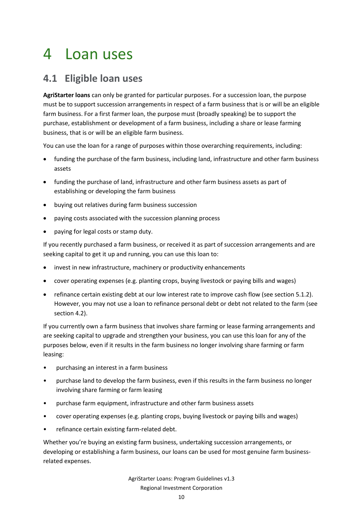## <span id="page-9-0"></span>4 Loan uses

## **4.1 Eligible loan uses**

**AgriStarter loans** can only be granted for particular purposes. For a succession loan, the purpose must be to support succession arrangements in respect of a farm business that is or will be an eligible farm business. For a first farmer loan, the purpose must (broadly speaking) be to support the purchase, establishment or development of a farm business, including a share or lease farming business, that is or will be an eligible farm business.

You can use the loan for a range of purposes within those overarching requirements, including:

- funding the purchase of the farm business, including land, infrastructure and other farm business assets
- funding the purchase of land, infrastructure and other farm business assets as part of establishing or developing the farm business
- buying out relatives during farm business succession
- paying costs associated with the succession planning process
- paying for legal costs or stamp duty.

If you recently purchased a farm business, or received it as part of succession arrangements and are seeking capital to get it up and running, you can use this loan to:

- invest in new infrastructure, machinery or productivity enhancements
- cover operating expenses (e.g. planting crops, buying livestock or paying bills and wages)
- refinance certain existing debt at our low interest rate to improve cash flow (see section 5.1.2). However, you may not use a loan to refinance personal debt or debt not related to the farm (see section 4.2).

If you currently own a farm business that involves share farming or lease farming arrangements and are seeking capital to upgrade and strengthen your business, you can use this loan for any of the purposes below, even if it results in the farm business no longer involving share farming or farm leasing:

- purchasing an interest in a farm business
- purchase land to develop the farm business, even if this results in the farm business no longer involving share farming or farm leasing
- purchase farm equipment, infrastructure and other farm business assets
- cover operating expenses (e.g. planting crops, buying livestock or paying bills and wages)
- refinance certain existing farm-related debt.

Whether you're buying an existing farm business, undertaking succession arrangements, or developing or establishing a farm business, our loans can be used for most genuine farm businessrelated expenses.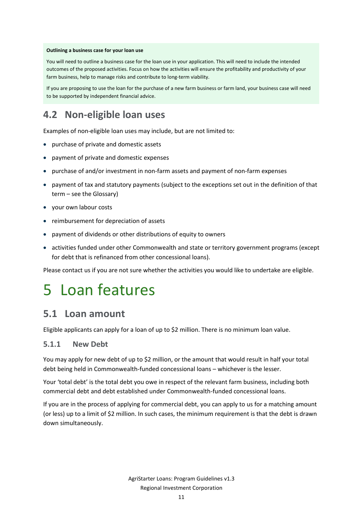#### **Outlining a business case for your loan use**

You will need to outline a business case for the loan use in your application. This will need to include the intended outcomes of the proposed activities. Focus on how the activities will ensure the profitability and productivity of your farm business, help to manage risks and contribute to long-term viability.

If you are proposing to use the loan for the purchase of a new farm business or farm land, your business case will need to be supported by independent financial advice.

## **4.2 Non-eligible loan uses**

Examples of non-eligible loan uses may include, but are not limited to:

- purchase of private and domestic assets
- payment of private and domestic expenses
- purchase of and/or investment in non-farm assets and payment of non-farm expenses
- payment of tax and statutory payments (subject to the exceptions set out in the definition of that term – see the Glossary)
- your own labour costs
- reimbursement for depreciation of assets
- payment of dividends or other distributions of equity to owners
- activities funded under other Commonwealth and state or territory government programs (except for debt that is refinanced from other concessional loans).

Please contact us if you are not sure whether the activities you would like to undertake are eligible.

## <span id="page-10-0"></span>5 Loan features

### **5.1 Loan amount**

Eligible applicants can apply for a loan of up to \$2 million. There is no minimum loan value.

#### **5.1.1 New Debt**

You may apply for new debt of up to \$2 million, or the amount that would result in half your total debt being held in Commonwealth-funded concessional loans – whichever is the lesser.

Your 'total debt' is the total debt you owe in respect of the relevant farm business, including both commercial debt and debt established under Commonwealth-funded concessional loans.

If you are in the process of applying for commercial debt, you can apply to us for a matching amount (or less) up to a limit of \$2 million. In such cases, the minimum requirement is that the debt is drawn down simultaneously.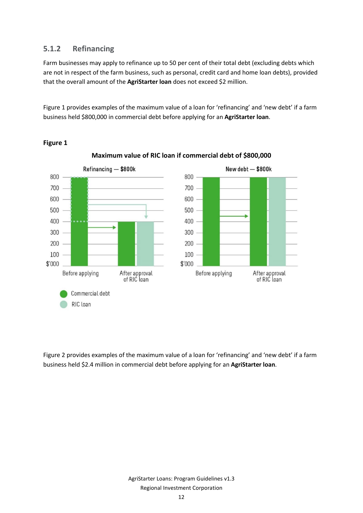### **5.1.2 Refinancing**

Farm businesses may apply to refinance up to 50 per cent of their total debt (excluding debts which are not in respect of the farm business, such as personal, credit card and home loan debts), provided that the overall amount of the **AgriStarter loan** does not exceed \$2 million.

[Figure 1](#page-11-0) provides examples of the maximum value of a loan for 'refinancing' and 'new debt' if a farm business held \$800,000 in commercial debt before applying for an **AgriStarter loan**.



#### <span id="page-11-0"></span>**Figure 1**

**Maximum value of RIC loan if commercial debt of \$800,000**

<span id="page-11-1"></span>[Figure 2](#page-11-1) provides examples of the maximum value of a loan for 'refinancing' and 'new debt' if a farm business held \$2.4 million in commercial debt before applying for an **AgriStarter loan**.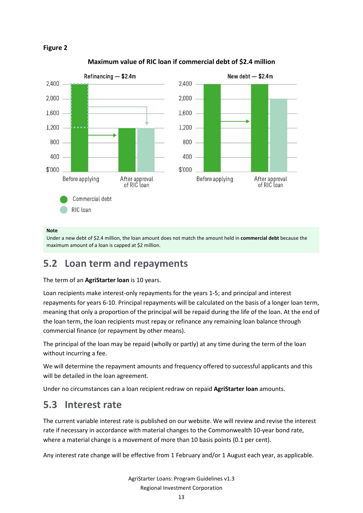



#### **Maximum value of RIC loan if commercial debt of \$2.4 million**

#### **Note**

Under a new debt of \$2.4 million, the loan amount does not match the amount held in **commercial debt** because the maximum amount of a loan is capped at \$2 million.

## **5.2 Loan term and repayments**

#### The term of an **AgriStarter loan** is 10 years.

Loan recipients make interest-only repayments for the years 1-5; and principal and interest repayments for years 6-10. Principal repayments will be calculated on the basis of a longer loan term, meaning that only a proportion of the principal will be repaid during the life of the loan. At the end of the loan term, the loan recipients must repay or refinance any remaining loan balance through commercial finance (or repayment by other means).

The principal of the loan may be repaid (wholly or partly) at any time during the term of the loan without incurring a fee.

We will determine the repayment amounts and frequency offered to successful applicants and this will be detailed in the loan agreement.

Under no circumstances can a loan recipientredraw on repaid **AgriStarter loan** amounts.

### **5.3 Interest rate**

The current variable interest rate is published on our website. We will review and revise the interest rate if necessary in accordance with material changes to the Commonwealth 10-year bond rate, where a material change is a movement of more than 10 basis points (0.1 per cent).

Any interest rate change will be effective from 1 February and/or 1 August each year, as applicable.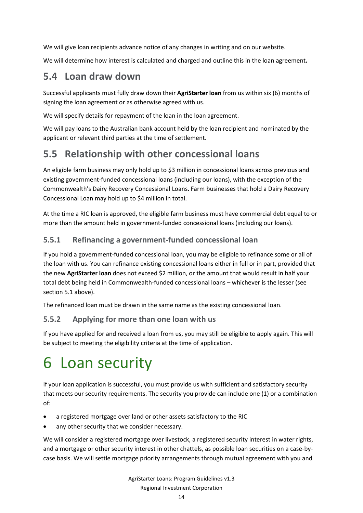We will give loan recipients advance notice of any changes in writing and on our website.

We will determine how interest is calculated and charged and outline this in the loan agreement**.**

## **5.4 Loan draw down**

Successful applicants must fully draw down their **AgriStarter loan** from us within six (6) months of signing the loan agreement or as otherwise agreed with us.

We will specify details for repayment of the loan in the loan agreement.

We will pay loans to the Australian bank account held by the loan recipient and nominated by the applicant or relevant third parties at the time of settlement.

## **5.5 Relationship with other concessional loans**

An eligible farm business may only hold up to \$3 million in concessional loans across previous and existing government-funded concessional loans (including our loans), with the exception of the Commonwealth's Dairy Recovery Concessional Loans. Farm businesses that hold a Dairy Recovery Concessional Loan may hold up to \$4 million in total.

At the time a RIC loan is approved, the eligible farm business must have commercial debt equal to or more than the amount held in government-funded concessional loans (including our loans).

### **5.5.1 Refinancing a government-funded concessional loan**

If you hold a government-funded concessional loan, you may be eligible to refinance some or all of the loan with us. You can refinance existing concessional loans either in full or in part, provided that the new **AgriStarter loan** does not exceed \$2 million, or the amount that would result in half your total debt being held in Commonwealth-funded concessional loans – whichever is the lesser (see section 5.1 above).

The refinanced loan must be drawn in the same name as the existing concessional loan.

### **5.5.2 Applying for more than one loan with us**

If you have applied for and received a loan from us, you may still be eligible to apply again. This will be subject to meeting the eligibility criteria at the time of application.

# <span id="page-13-0"></span>6 Loan security

If your loan application is successful, you must provide us with sufficient and satisfactory security that meets our security requirements. The security you provide can include one (1) or a combination of:

- a registered mortgage over land or other assets satisfactory to the RIC
- any other security that we consider necessary.

We will consider a registered mortgage over livestock, a registered security interest in water rights, and a mortgage or other security interest in other chattels, as possible loan securities on a case-bycase basis. We will settle mortgage priority arrangements through mutual agreement with you and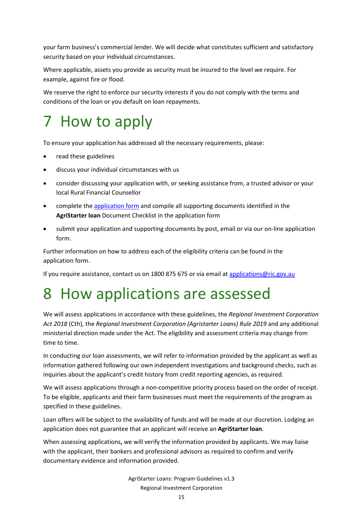your farm business's commercial lender. We will decide what constitutes sufficient and satisfactory security based on your individual circumstances.

Where applicable, assets you provide as security must be insured to the level we require. For example, against fire or flood.

We reserve the right to enforce our security interests if you do not comply with the terms and conditions of the loan or you default on loan repayments.

# <span id="page-14-0"></span>7 How to apply

To ensure your application has addressed all the necessary requirements, please:

- read these guidelines
- discuss your individual circumstances with us
- consider discussing your application with, or seeking assistance from, a trusted advisor or your local Rural Financial Counsellor
- complete th[e application form](http://ric.gov.au/agristarter#application-form) and compile all supporting documents identified in the **AgriStarter loan** Document Checklist in the application form
- submit your application and supporting documents by post, email or via our on-line application form.

Further information on how to address each of the eligibility criteria can be found in the application form.

If you require assistance, contact us on 1800 875 675 or via email at [applications@ric.gov.au](mailto:applications@ric.gov.au)

## <span id="page-14-1"></span>8 How applications are assessed

We will assess applications in accordance with these guidelines, the *Regional Investment Corporation Act 2018* (Cth), the *Regional Investment Corporation (Agristarter Loans) Rule 2019* and any additional ministerial direction made under the Act. The eligibility and assessment criteria may change from time to time.

In conducting our loan assessments, we will refer to information provided by the applicant as well as information gathered following our own independent investigations and background checks, such as inquiries about the applicant's credit history from credit reporting agencies, as required.

We will assess applications through a non-competitive priority process based on the order of receipt. To be eligible, applicants and their farm businesses must meet the requirements of the program as specified in these guidelines.

Loan offers will be subject to the availability of funds and will be made at our discretion. Lodging an application does not guarantee that an applicant will receive an **AgriStarter loan**.

When assessing applications**,** we will verify the information provided by applicants. We may liaise with the applicant, their bankers and professional advisors as required to confirm and verify documentary evidence and information provided.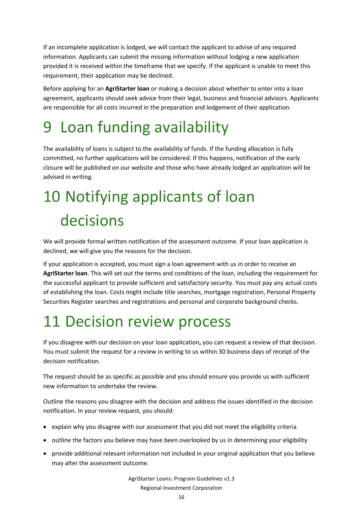If an incomplete application is lodged, we will contact the applicant to advise of any required information. Applicants can submit the missing information without lodging a new application provided it is received within the timeframe that we specify. If the applicant is unable to meet this requirement, their application may be declined.

Before applying for an **AgriStarter loan** or making a decision about whether to enter into a loan agreement, applicants should seek advice from their legal, business and financial advisors. Applicants are responsible for all costs incurred in the preparation and lodgement of their application.

# <span id="page-15-0"></span>9 Loan funding availability

The availability of loans is subject to the availability of funds. If the funding allocation is fully committed, no further applications will be considered. If this happens, notification of the early closure will be published on our website and those who have already lodged an application will be advised in writing.

# <span id="page-15-1"></span>10 Notifying applicants of loan decisions

We will provide formal written notification of the assessment outcome. If your loan application is declined, we will give you the reasons for the decision.

If your application is accepted, you must sign a loan agreement with us in order to receive an **AgriStarter loan**. This will set out the terms and conditions of the loan, including the requirement for the successful applicant to provide sufficient and satisfactory security. You must pay any actual costs of establishing the loan. Costs might include title searches, mortgage registration, Personal Property Securities Register searches and registrations and personal and corporate background checks.

# <span id="page-15-2"></span>11 Decision review process

If you disagree with our decision on your loan application**,** you can request a review of that decision. You must submit the request for a review in writing to us within 30 business days of receipt of the decision notification.

The request should be as specific as possible and you should ensure you provide us with sufficient new information to undertake the review.

Outline the reasons you disagree with the decision and address the issues identified in the decision notification. In your review request, you should:

- explain why you disagree with our assessment that you did not meet the eligibility criteria
- outline the factors you believe may have been overlooked by us in determining your eligibility
- provide additional relevant information not included in your original application that you believe may alter the assessment outcome.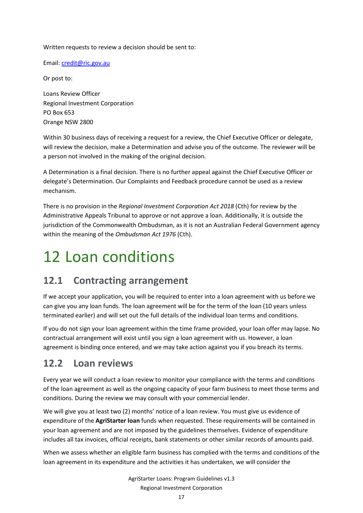Written requests to review a decision should be sent to:

Email: [credit@ric.gov.au](mailto:credit@ric.gov.au)

Or post to:

Loans Review Officer Regional Investment Corporation PO Box 653 Orange NSW 2800

Within 30 business days of receiving a request for a review, the Chief Executive Officer or delegate, will review the decision, make a Determination and advise you of the outcome. The reviewer will be a person not involved in the making of the original decision.

A Determination is a final decision. There is no further appeal against the Chief Executive Officer or delegate's Determination. Our Complaints and Feedback procedure cannot be used as a review mechanism.

There is no provision in the *Regional Investment Corporation Act 2018* (Cth) for review by the Administrative Appeals Tribunal to approve or not approve a loan. Additionally, it is outside the jurisdiction of the Commonwealth Ombudsman, as it is not an Australian Federal Government agency within the meaning of the *Ombudsman Act 1976* (Cth).

# <span id="page-16-0"></span>12 Loan conditions

## **12.1 Contracting arrangement**

If we accept your application, you will be required to enter into a loan agreement with us before we can give you any loan funds. The loan agreement will be for the term of the loan (10 years unless terminated earlier) and will set out the full details of the individual loan terms and conditions.

If you do not sign your loan agreement within the time frame provided, your loan offer may lapse. No contractual arrangement will exist until you sign a loan agreement with us. However, a loan agreement is binding once entered, and we may take action against you if you breach its terms.

### **12.2 Loan reviews**

Every year we will conduct a loan review to monitor your compliance with the terms and conditions of the loan agreement as well as the ongoing capacity of your farm business to meet those terms and conditions. During the review we may consult with your commercial lender.

We will give you at least two (2) months' notice of a loan review. You must give us evidence of expenditure of the **AgriStarter loan** funds when requested. These requirements will be contained in your loan agreement and are not imposed by the guidelines themselves. Evidence of expenditure includes all tax invoices, official receipts, bank statements or other similar records of amounts paid.

When we assess whether an eligible farm business has complied with the terms and conditions of the loan agreement in its expenditure and the activities it has undertaken, we will consider the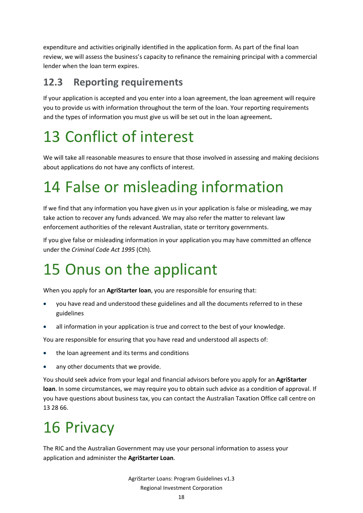expenditure and activities originally identified in the application form. As part of the final loan review, we will assess the business's capacity to refinance the remaining principal with a commercial lender when the loan term expires.

## **12.3 Reporting requirements**

If your application is accepted and you enter into a loan agreement, the loan agreement will require you to provide us with information throughout the term of the loan. Your reporting requirements and the types of information you must give us will be set out in the loan agreement**.**

# <span id="page-17-0"></span>13 Conflict of interest

We will take all reasonable measures to ensure that those involved in assessing and making decisions about applications do not have any conflicts of interest.

# <span id="page-17-1"></span>14 False or misleading information

If we find that any information you have given us in your application is false or misleading, we may take action to recover any funds advanced. We may also refer the matter to relevant law enforcement authorities of the relevant Australian, state or territory governments.

If you give false or misleading information in your application you may have committed an offence under the *Criminal Code Act 1995* (Cth)*.*

# <span id="page-17-2"></span>15 Onus on the applicant

When you apply for an **AgriStarter loan**, you are responsible for ensuring that:

- you have read and understood these guidelines and all the documents referred to in these guidelines
- all information in your application is true and correct to the best of your knowledge.

You are responsible for ensuring that you have read and understood all aspects of:

- the loan agreement and its terms and conditions
- any other documents that we provide.

You should seek advice from your legal and financial advisors before you apply for an **AgriStarter loan**. In some circumstances, we may require you to obtain such advice as a condition of approval. If you have questions about business tax, you can contact the Australian Taxation Office call centre on 13 28 66.

# <span id="page-17-3"></span>16 Privacy

The RIC and the Australian Government may use your personal information to assess your application and administer the **AgriStarter Loan**.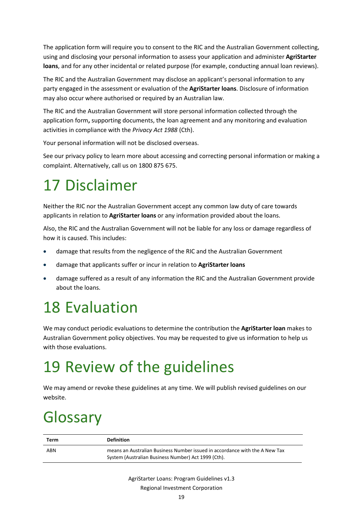The application form will require you to consent to the RIC and the Australian Government collecting, using and disclosing your personal information to assess your application and administer **AgriStarter loans**, and for any other incidental or related purpose (for example, conducting annual loan reviews).

The RIC and the Australian Government may disclose an applicant's personal information to any party engaged in the assessment or evaluation of the **AgriStarter loans**. Disclosure of information may also occur where authorised or required by an Australian law.

The RIC and the Australian Government will store personal information collected through the application form**,** supporting documents, the loan agreement and any monitoring and evaluation activities in compliance with the *Privacy Act 1988* (Cth).

Your personal information will not be disclosed overseas.

See our privacy policy to learn more about accessing and correcting personal information or making a complaint. Alternatively, call us on 1800 875 675.

## <span id="page-18-0"></span>17 Disclaimer

Neither the RIC nor the Australian Government accept any common law duty of care towards applicants in relation to **AgriStarter loans** or any information provided about the loans.

Also, the RIC and the Australian Government will not be liable for any loss or damage regardless of how it is caused. This includes:

- damage that results from the negligence of the RIC and the Australian Government
- damage that applicants suffer or incur in relation to **AgriStarter loans**
- damage suffered as a result of any information the RIC and the Australian Government provide about the loans.

## <span id="page-18-1"></span>18 Evaluation

We may conduct periodic evaluations to determine the contribution the **AgriStarter loan** makes to Australian Government policy objectives. You may be requested to give us information to help us with those evaluations.

# <span id="page-18-2"></span>19 Review of the guidelines

We may amend or revoke these guidelines at any time. We will publish revised guidelines on our website.

# <span id="page-18-3"></span>Glossary

| Term | <b>Definition</b>                                                                                                                  |
|------|------------------------------------------------------------------------------------------------------------------------------------|
| ABN  | means an Australian Business Number issued in accordance with the A New Tax<br>System (Australian Business Number) Act 1999 (Cth). |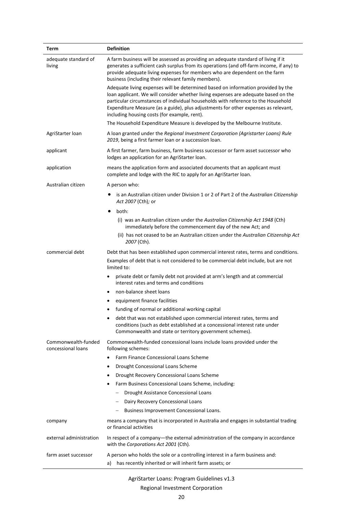| Term                                      | <b>Definition</b>                                                                                                                                                                                                                                                                                                                                                                                 |
|-------------------------------------------|---------------------------------------------------------------------------------------------------------------------------------------------------------------------------------------------------------------------------------------------------------------------------------------------------------------------------------------------------------------------------------------------------|
| adequate standard of<br>living            | A farm business will be assessed as providing an adequate standard of living if it<br>generates a sufficient cash surplus from its operations (and off-farm income, if any) to<br>provide adequate living expenses for members who are dependent on the farm<br>business (including their relevant family members).                                                                               |
|                                           | Adequate living expenses will be determined based on information provided by the<br>loan applicant. We will consider whether living expenses are adequate based on the<br>particular circumstances of individual households with reference to the Household<br>Expenditure Measure (as a guide), plus adjustments for other expenses as relevant,<br>including housing costs (for example, rent). |
|                                           | The Household Expenditure Measure is developed by the Melbourne Institute.                                                                                                                                                                                                                                                                                                                        |
| AgriStarter Ioan                          | A loan granted under the Regional Investment Corporation (Agristarter Loans) Rule<br>2019, being a first farmer loan or a succession loan.                                                                                                                                                                                                                                                        |
| applicant                                 | A first farmer, farm business, farm business successor or farm asset successor who<br>lodges an application for an AgriStarter loan.                                                                                                                                                                                                                                                              |
| application                               | means the application form and associated documents that an applicant must<br>complete and lodge with the RIC to apply for an AgriStarter loan.                                                                                                                                                                                                                                                   |
| Australian citizen                        | A person who:                                                                                                                                                                                                                                                                                                                                                                                     |
|                                           | is an Australian citizen under Division 1 or 2 of Part 2 of the Australian Citizenship<br>Act 2007 (Cth); or                                                                                                                                                                                                                                                                                      |
|                                           | both:                                                                                                                                                                                                                                                                                                                                                                                             |
|                                           | (i) was an Australian citizen under the Australian Citizenship Act 1948 (Cth)<br>immediately before the commencement day of the new Act; and                                                                                                                                                                                                                                                      |
|                                           | (ii) has not ceased to be an Australian citizen under the Australian Citizenship Act<br>2007 (Cth).                                                                                                                                                                                                                                                                                               |
| commercial debt                           | Debt that has been established upon commercial interest rates, terms and conditions.                                                                                                                                                                                                                                                                                                              |
|                                           | Examples of debt that is not considered to be commercial debt include, but are not<br>limited to:                                                                                                                                                                                                                                                                                                 |
|                                           | private debt or family debt not provided at arm's length and at commercial<br>$\bullet$<br>interest rates and terms and conditions                                                                                                                                                                                                                                                                |
|                                           | non-balance sheet loans<br>$\bullet$                                                                                                                                                                                                                                                                                                                                                              |
|                                           | equipment finance facilities<br>٠                                                                                                                                                                                                                                                                                                                                                                 |
|                                           | funding of normal or additional working capital                                                                                                                                                                                                                                                                                                                                                   |
|                                           | debt that was not established upon commercial interest rates, terms and<br>conditions (such as debt established at a concessional interest rate under<br>Commonwealth and state or territory government schemes).                                                                                                                                                                                 |
| Commonwealth-funded<br>concessional loans | Commonwealth-funded concessional loans include loans provided under the<br>following schemes:                                                                                                                                                                                                                                                                                                     |
|                                           | <b>Farm Finance Concessional Loans Scheme</b><br>$\bullet$                                                                                                                                                                                                                                                                                                                                        |
|                                           | Drought Concessional Loans Scheme<br>$\bullet$                                                                                                                                                                                                                                                                                                                                                    |
|                                           | Drought Recovery Concessional Loans Scheme                                                                                                                                                                                                                                                                                                                                                        |
|                                           | Farm Business Concessional Loans Scheme, including:<br>٠                                                                                                                                                                                                                                                                                                                                          |
|                                           | Drought Assistance Concessional Loans                                                                                                                                                                                                                                                                                                                                                             |
|                                           | - Dairy Recovery Concessional Loans                                                                                                                                                                                                                                                                                                                                                               |
|                                           | Business Improvement Concessional Loans.                                                                                                                                                                                                                                                                                                                                                          |
| company                                   | means a company that is incorporated in Australia and engages in substantial trading<br>or financial activities                                                                                                                                                                                                                                                                                   |
| external administration                   | In respect of a company—the external administration of the company in accordance<br>with the Corporations Act 2001 (Cth).                                                                                                                                                                                                                                                                         |
| farm asset successor                      | A person who holds the sole or a controlling interest in a farm business and:<br>has recently inherited or will inherit farm assets; or<br>a)                                                                                                                                                                                                                                                     |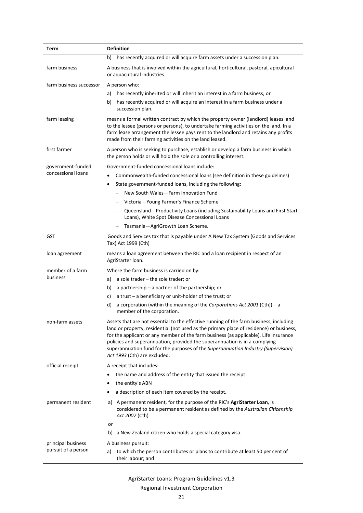| Term                    | <b>Definition</b>                                                                                                                                                                                                                                                                                                                                                                                                                                                            |
|-------------------------|------------------------------------------------------------------------------------------------------------------------------------------------------------------------------------------------------------------------------------------------------------------------------------------------------------------------------------------------------------------------------------------------------------------------------------------------------------------------------|
|                         | has recently acquired or will acquire farm assets under a succession plan.<br>b)                                                                                                                                                                                                                                                                                                                                                                                             |
| farm business           | A business that is involved within the agricultural, horticultural, pastoral, apicultural<br>or aquacultural industries.                                                                                                                                                                                                                                                                                                                                                     |
| farm business successor | A person who:                                                                                                                                                                                                                                                                                                                                                                                                                                                                |
|                         | has recently inherited or will inherit an interest in a farm business; or<br>a)                                                                                                                                                                                                                                                                                                                                                                                              |
|                         | has recently acquired or will acquire an interest in a farm business under a<br>b)<br>succession plan.                                                                                                                                                                                                                                                                                                                                                                       |
| farm leasing            | means a formal written contract by which the property owner (landlord) leases land<br>to the lessee (persons or persons), to undertake farming activities on the land. In a<br>farm lease arrangement the lessee pays rent to the landlord and retains any profits<br>made from their farming activities on the land leased.                                                                                                                                                 |
| first farmer            | A person who is seeking to purchase, establish or develop a farm business in which<br>the person holds or will hold the sole or a controlling interest.                                                                                                                                                                                                                                                                                                                      |
| government-funded       | Government-funded concessional loans include:                                                                                                                                                                                                                                                                                                                                                                                                                                |
| concessional loans      | Commonwealth-funded concessional loans (see definition in these guidelines)                                                                                                                                                                                                                                                                                                                                                                                                  |
|                         | State government-funded loans, including the following:<br>$\bullet$                                                                                                                                                                                                                                                                                                                                                                                                         |
|                         | New South Wales-Farm Innovation Fund<br>$\overline{\phantom{0}}$                                                                                                                                                                                                                                                                                                                                                                                                             |
|                         | - Victoria-Young Farmer's Finance Scheme                                                                                                                                                                                                                                                                                                                                                                                                                                     |
|                         | Queensland-Productivity Loans (including Sustainability Loans and First Start<br>-<br>Loans), White Spot Disease Concessional Loans                                                                                                                                                                                                                                                                                                                                          |
|                         | Tasmania-AgriGrowth Loan Scheme.                                                                                                                                                                                                                                                                                                                                                                                                                                             |
| GST                     | Goods and Services tax that is payable under A New Tax System (Goods and Services<br>Tax) Act 1999 (Cth)                                                                                                                                                                                                                                                                                                                                                                     |
| loan agreement          | means a loan agreement between the RIC and a loan recipient in respect of an<br>AgriStarter Ioan.                                                                                                                                                                                                                                                                                                                                                                            |
| member of a farm        | Where the farm business is carried on by:                                                                                                                                                                                                                                                                                                                                                                                                                                    |
| business                | a) a sole trader $-$ the sole trader; or                                                                                                                                                                                                                                                                                                                                                                                                                                     |
|                         | a partnership $-$ a partner of the partnership; or<br>b)                                                                                                                                                                                                                                                                                                                                                                                                                     |
|                         | a trust $-$ a beneficiary or unit-holder of the trust; or<br>c)                                                                                                                                                                                                                                                                                                                                                                                                              |
|                         | a corporation (within the meaning of the Corporations Act 2001 (Cth)) - a<br>d)<br>member of the corporation.                                                                                                                                                                                                                                                                                                                                                                |
| non-farm assets         | Assets that are not essential to the effective running of the farm business, including<br>land or property, residential (not used as the primary place of residence) or business,<br>for the applicant or any member of the farm business (as applicable). Life insurance<br>policies and superannuation, provided the superannuation is in a complying<br>superannuation fund for the purposes of the Superannuation Industry (Supervision)<br>Act 1993 (Cth) are excluded. |
| official receipt        | A receipt that includes:                                                                                                                                                                                                                                                                                                                                                                                                                                                     |
|                         | the name and address of the entity that issued the receipt                                                                                                                                                                                                                                                                                                                                                                                                                   |
|                         | the entity's ABN<br>٠                                                                                                                                                                                                                                                                                                                                                                                                                                                        |
|                         | a description of each item covered by the receipt.                                                                                                                                                                                                                                                                                                                                                                                                                           |
| permanent resident      | a) A permanent resident, for the purpose of the RIC's AgriStarter Loan, is<br>considered to be a permanent resident as defined by the Australian Citizenship<br>Act 2007 (Cth)                                                                                                                                                                                                                                                                                               |
|                         | or                                                                                                                                                                                                                                                                                                                                                                                                                                                                           |
|                         | a New Zealand citizen who holds a special category visa.<br>b)                                                                                                                                                                                                                                                                                                                                                                                                               |
| principal business      | A business pursuit:                                                                                                                                                                                                                                                                                                                                                                                                                                                          |
| pursuit of a person     | to which the person contributes or plans to contribute at least 50 per cent of<br>a)<br>their labour; and                                                                                                                                                                                                                                                                                                                                                                    |